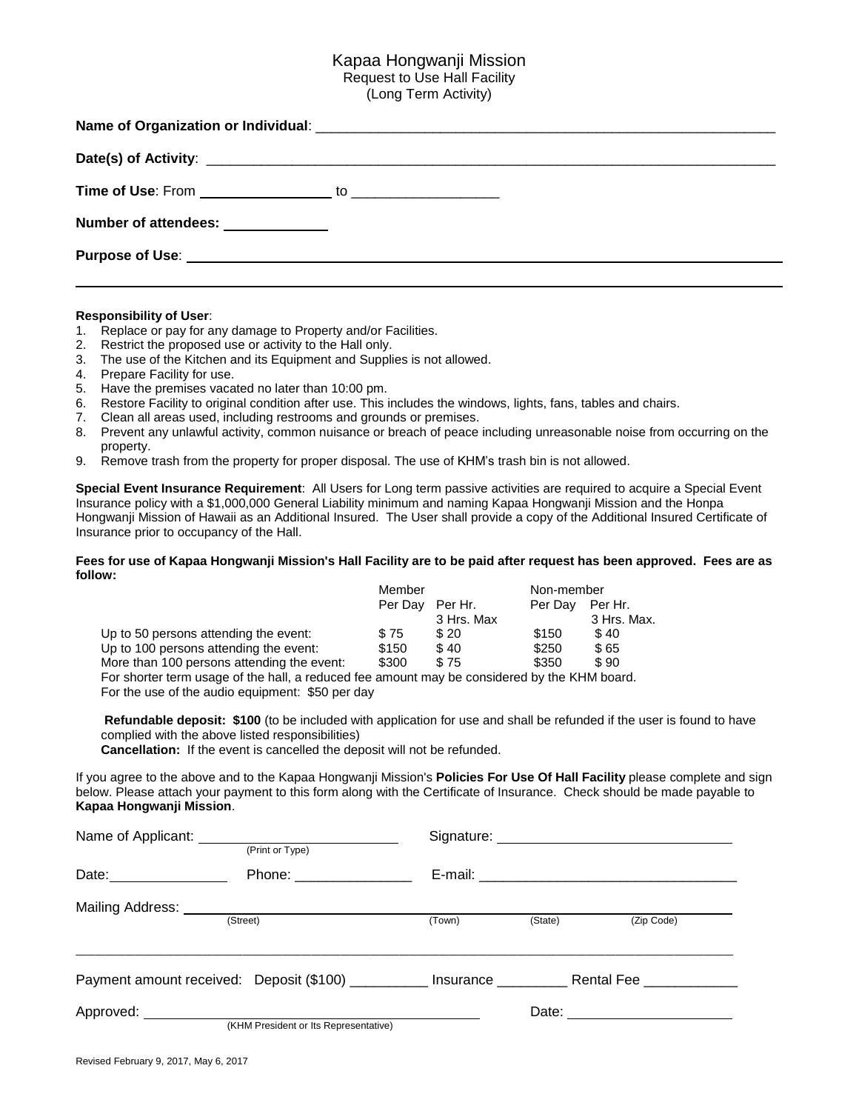## Kapaa Hongwanji Mission Request to Use Hall Facility (Long Term Activity)

| Number of attendees: _____________                                                                                                                                                                                                   |  |
|--------------------------------------------------------------------------------------------------------------------------------------------------------------------------------------------------------------------------------------|--|
| Purpose of Use: <u>with a series of the series of the series of the series of the series of the series of the series of the series of the series of the series of the series of the series of the series of the series of the se</u> |  |

### **Responsibility of User**:

- 1. Replace or pay for any damage to Property and/or Facilities.
- 2. Restrict the proposed use or activity to the Hall only.
- 3. The use of the Kitchen and its Equipment and Supplies is not allowed.
- 4. Prepare Facility for use.
- 5. Have the premises vacated no later than 10:00 pm.
- 6. Restore Facility to original condition after use. This includes the windows, lights, fans, tables and chairs.
- 7. Clean all areas used, including restrooms and grounds or premises.
- 8. Prevent any unlawful activity, common nuisance or breach of peace including unreasonable noise from occurring on the property.
- 9. Remove trash from the property for proper disposal. The use of KHM's trash bin is not allowed.

**Special Event Insurance Requirement**: All Users for Long term passive activities are required to acquire a Special Event Insurance policy with a \$1,000,000 General Liability minimum and naming Kapaa Hongwanji Mission and the Honpa Hongwanji Mission of Hawaii as an Additional Insured. The User shall provide a copy of the Additional Insured Certificate of Insurance prior to occupancy of the Hall.

#### Fees for use of Kapaa Hongwanji Mission's Hall Facility are to be paid after reguest has been approved. Fees are as **follow:**

|                                            | Member  |            | Non-member |             |
|--------------------------------------------|---------|------------|------------|-------------|
|                                            | Per Dav | Per Hr.    | Per Dav    | Per Hr.     |
|                                            |         | 3 Hrs. Max |            | 3 Hrs. Max. |
| Up to 50 persons attending the event:      | \$75    | \$20       | \$150      | \$40        |
| Up to 100 persons attending the event:     | \$150   | \$40       | \$250      | \$65        |
| More than 100 persons attending the event: | \$300   | \$75       | \$350      | \$90        |
|                                            |         |            |            |             |

For shorter term usage of the hall, a reduced fee amount may be considered by the KHM board. For the use of the audio equipment: \$50 per day

**Refundable deposit: \$100** (to be included with application for use and shall be refunded if the user is found to have complied with the above listed responsibilities)

**Cancellation:** If the event is cancelled the deposit will not be refunded.

If you agree to the above and to the Kapaa Hongwanji Mission's **Policies For Use Of Hall Facility** please complete and sign below. Please attach your payment to this form along with the Certificate of Insurance. Check should be made payable to **Kapaa Hongwanji Mission**.

| Name of Applicant: Name of Applicant:<br>(Print or Type) |                                                     |        |                      |            |  |
|----------------------------------------------------------|-----------------------------------------------------|--------|----------------------|------------|--|
|                                                          | Phone: __________________                           |        |                      |            |  |
| Mailing Address: ____________                            | (Street)                                            | (Town) | (State)              | (Zip Code) |  |
|                                                          | Payment amount received: Deposit (\$100) __________ |        | Insurance Rental Fee |            |  |
| (KHM President or Its Representative)                    |                                                     |        |                      |            |  |